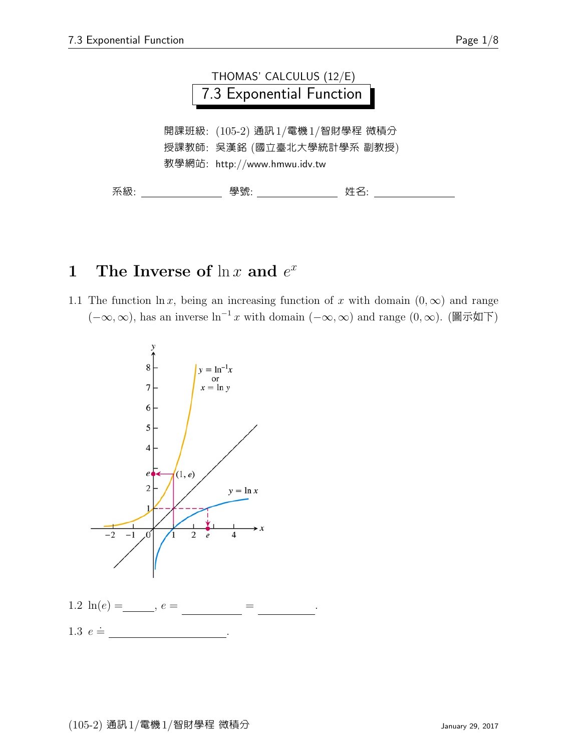

# 1 The Inverse of  $\ln x$  and  $e^x$

1.1 The function  $\ln x$ , being an increasing function of x with domain  $(0, \infty)$  and range  $(-\infty, \infty)$ , has an inverse  $\ln^{-1} x$  with domain  $(-\infty, \infty)$  and range  $(0, \infty)$ . (圖示如下)



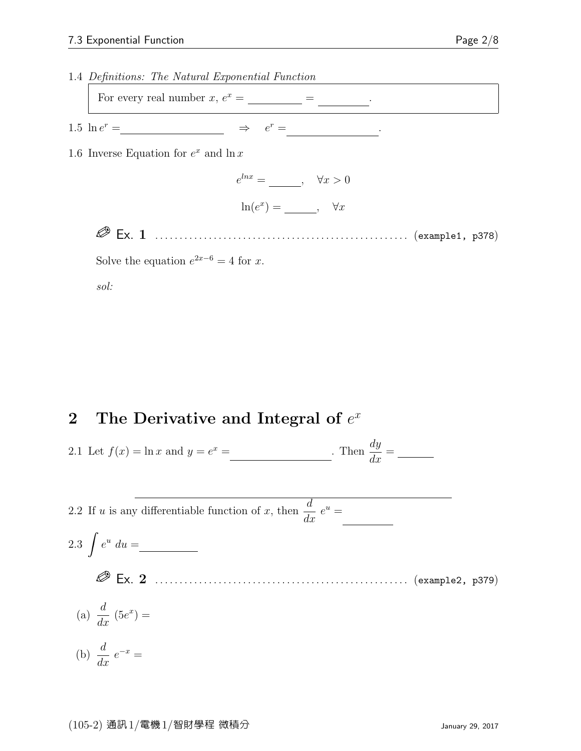

sol:

# 2 The Derivative and Integral of  $e^x$

2.1 Let 
$$
f(x) = \ln x
$$
 and  $y = e^x =$  \_\_\_\_\_\_\_. Then  $\frac{dy}{dx} =$  \_\_\_\_\_\_\_.

2.2 If *u* is any differentiable function of *x*, then 
$$
\frac{d}{dx} e^u =
$$
  
\n2.3  $\int e^u du =$   
\n $\circled{B}$  Ex. 2  
\n(a)  $\frac{d}{dx} (5e^x) =$   
\n(b)  $\frac{d}{dx} e^{-x} =$   
\n(b)  $\frac{d}{dx} e^{-x} =$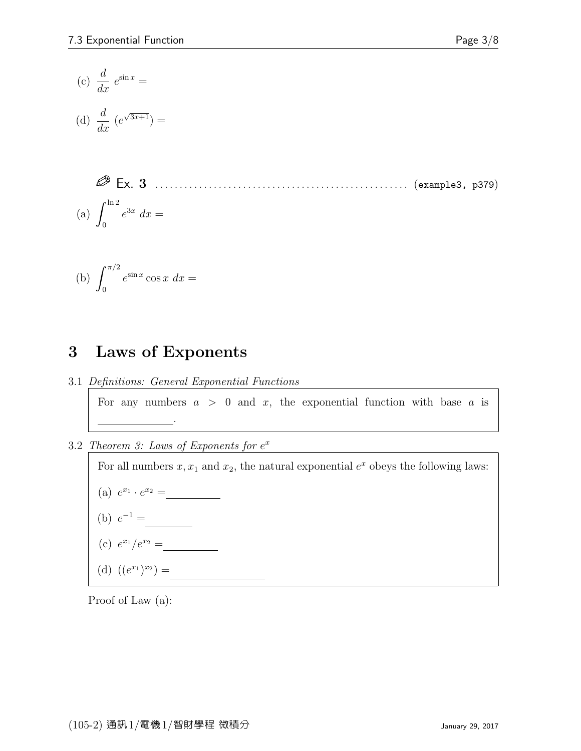$$
(c) \frac{d}{dx} e^{\sin x} =
$$

(d) 
$$
\frac{d}{dx} (e^{\sqrt{3x+1}}) =
$$

 Ex. 3 . . . . . . . . . . . . . . . . . . . . . . . . . . . . . . . . . . . . . . . . . . . . . . . . . . . . (example3, p379) (a)  $\int^{\ln 2}$ 0  $e^{3x} dx =$ 

(b) 
$$
\int_0^{\pi/2} e^{\sin x} \cos x \, dx =
$$

### 3 Laws of Exponents

3.1 Definitions: General Exponential Functions

For any numbers  $a > 0$  and x, the exponential function with base a is a  $\overline{\phantom{a}}$  $x = 1$ 

3.2 Theorem 3: Laws of Exponents for  $e^x$ 

For all numbers  $x, x_1$  and  $x_2$ , the natural exponential  $e^x$  obeys the following laws:

(a) 
$$
e^{x_1} \cdot e^{x_2} =
$$

(b) 
$$
e^{-1} =
$$

(c) 
$$
e^{x_1}/e^{x_2} =
$$

(d) 
$$
((e^{x_1})^{x_2}) =
$$

Proof of Law (a):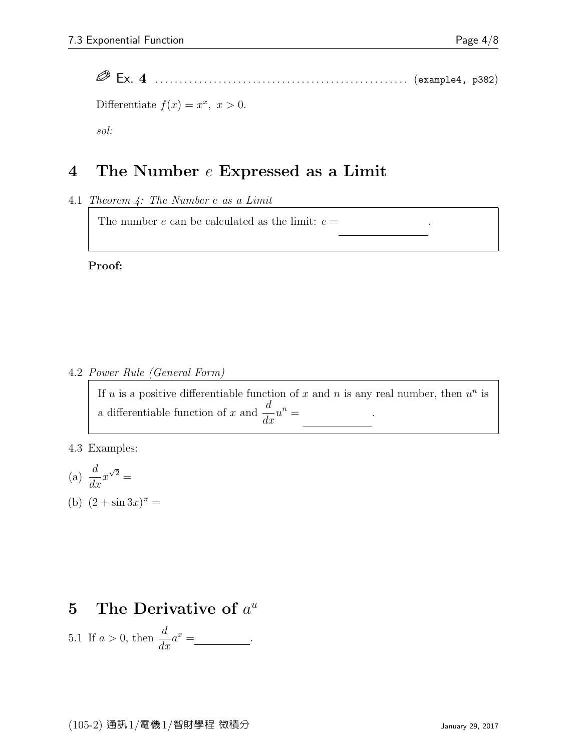.

Ex. 4 . . . . . . . . . . . . . . . . . . . . . . . . . . . . . . . . . . . . . . . . . . . . . . . . . . . . (example4, p382)

Differentiate  $f(x) = x^x, x > 0.$ sol:

# 4 The Number e Expressed as a Limit

4.1 Theorem 4: The Number e as a Limit

The number  $e$  can be calculated as the limit:  $e =$ 

#### Proof:

4.2 Power Rule (General Form)

If u is a positive differentiable function of x and n is any real number, then  $u^n$  is a differentiable function of x and  $\frac{d}{dt}$  $\frac{u}{dx}u^{n} =$ d<br>Bar .

4.3 Examples:

(a) 
$$
\frac{d}{dx}x^{\sqrt{2}} =
$$

(b)  $(2 + \sin 3x)^{\pi} =$ 

# 5 The Derivative of  $a^u$

5.1 If 
$$
a > 0
$$
, then  $\frac{d}{dx}a^x =$  \_\_\_\_\_\_\_\_\_\_\_.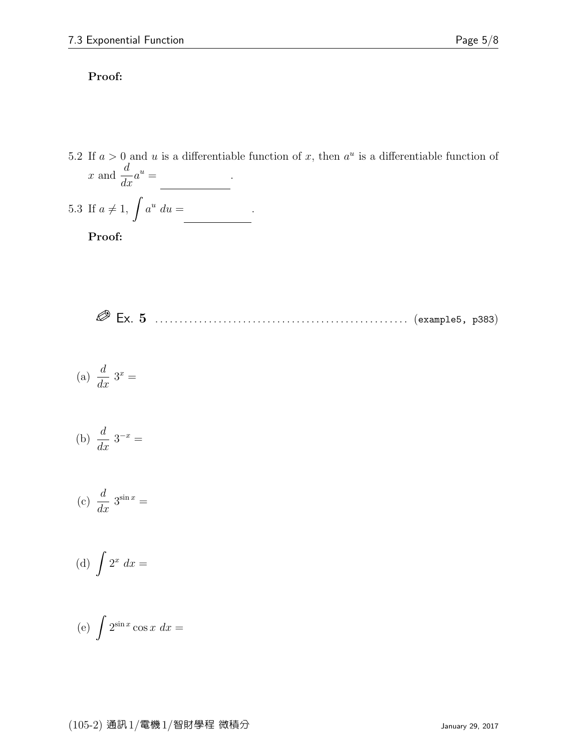#### Proof:

5.2 If  $a > 0$  and u is a differentiable function of x, then  $a^u$  is a differentiable function of x and  $\frac{d}{dx}$  $\frac{u}{dx}a^u =$ d<br>Bar .

5.3 If 
$$
a \neq 1
$$
,  $\int a^u du =$ 

Proof:

Ex. 5 . . . . . . . . . . . . . . . . . . . . . . . . . . . . . . . . . . . . . . . . . . . . . . . . . . . . (example5, p383)

$$
(a) \frac{d}{dx} 3^x =
$$

(b) 
$$
\frac{d}{dx} 3^{-x} =
$$

$$
(c) \frac{d}{dx} 3^{\sin x} =
$$

(d) 
$$
\int 2^x dx =
$$

$$
(e) \int 2^{\sin x} \cos x \, dx =
$$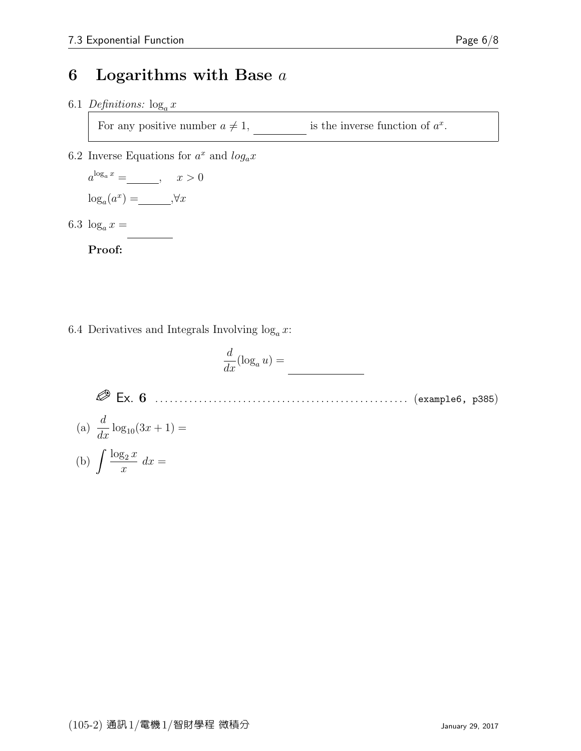### 6 Logarithms with Base  $a$

6.1 Definitions:  $\log_a x$ 

For any positive number  $a \neq 1$ , is the inverse function of  $a^x$ .

6.2 Inverse Equations for  $a^x$  and  $log_a x$ 

 $a^{\log_a x} = \underline{\hspace{2cm}}, \quad x > 0$  $\log_a(a^x) =$   $\_\_\_\_$ ,  $\forall x$ 

<u>lan</u>

6.3  $\log_a x =$ 

Proof:

6.4 Derivatives and Integrals Involving  $\log_a x$ :

$$
\frac{d}{dx}(\log_a u) =
$$

Ex. 6 . . . . . . . . . . . . . . . . . . . . . . . . . . . . . . . . . . . . . . . . . . . . . . . . . . . . (example6, p385)

(a)  $\frac{d}{t}$  $\frac{d}{dx}$  log<sub>10</sub>(3x + 1) =

$$
(b) \int \frac{\log_2 x}{x} \, dx =
$$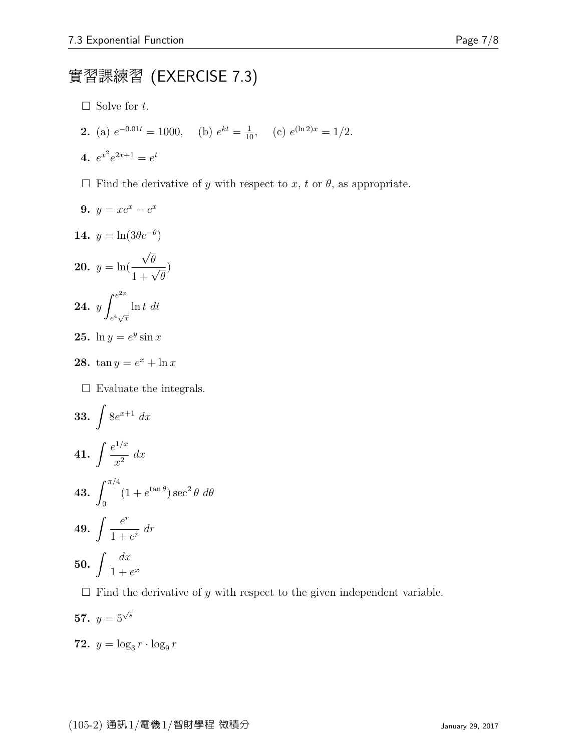# 實習課練習 (EXERCISE 7.3)

- $\Box$  Solve for t.
- **2.** (a)  $e^{-0.01t} = 1000$ , (b)  $e^{kt} = \frac{1}{10}$ , (c)  $e^{(\ln 2)x} = 1/2$ .

$$
4. \ e^{x^2}e^{2x+1} = e^t
$$

 $\Box$  Find the derivative of y with respect to x, t or  $\theta$ , as appropriate.

9. 
$$
y = xe^x - e^x
$$
  
\n14.  $y = \ln(3\theta e^{-\theta})$   
\n20.  $y = \ln(\frac{\sqrt{\theta}}{1 + \sqrt{\theta}})$   
\n24.  $y \int_{e^4 \sqrt{x}}^{e^{2x}} \ln t \ dt$   
\n25.  $\ln y = e^y \sin x$   
\n28.  $\tan y = e^x + \ln x$   
\n $\Box$  Evaluate the integrals.  
\n33.  $\int 8e^{x+1} \ dx$   
\n41.  $\int \frac{e^{1/x}}{x^2} \ dx$   
\n43.  $\int_0^{\pi/4} (1 + e^{\tan \theta}) \sec^2 \theta \ d\theta$   
\n49.  $\int \frac{e^r}{1 + e^r} \ dr$   
\n50.  $\int \frac{dx}{1 + e^x}$ 

 $\Box$  Find the derivative of  $y$  with respect to the given independent variable.

57. 
$$
y = 5^{\sqrt{s}}
$$

$$
72. \, y = \log_3 r \cdot \log_9 r
$$